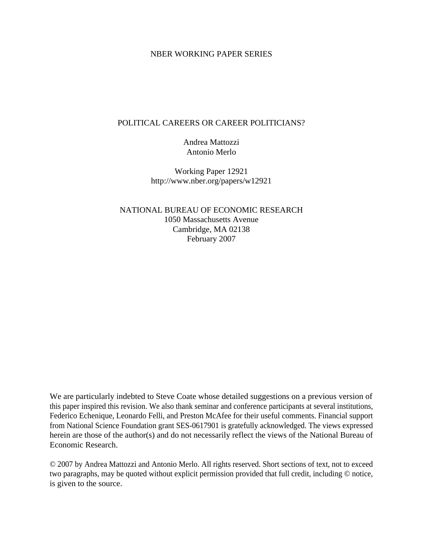#### NBER WORKING PAPER SERIES

#### POLITICAL CAREERS OR CAREER POLITICIANS?

Andrea Mattozzi Antonio Merlo

Working Paper 12921 http://www.nber.org/papers/w12921

NATIONAL BUREAU OF ECONOMIC RESEARCH 1050 Massachusetts Avenue Cambridge, MA 02138 February 2007

We are particularly indebted to Steve Coate whose detailed suggestions on a previous version of this paper inspired this revision. We also thank seminar and conference participants at several institutions, Federico Echenique, Leonardo Felli, and Preston McAfee for their useful comments. Financial support from National Science Foundation grant SES-0617901 is gratefully acknowledged. The views expressed herein are those of the author(s) and do not necessarily reflect the views of the National Bureau of Economic Research.

© 2007 by Andrea Mattozzi and Antonio Merlo. All rights reserved. Short sections of text, not to exceed two paragraphs, may be quoted without explicit permission provided that full credit, including © notice, is given to the source.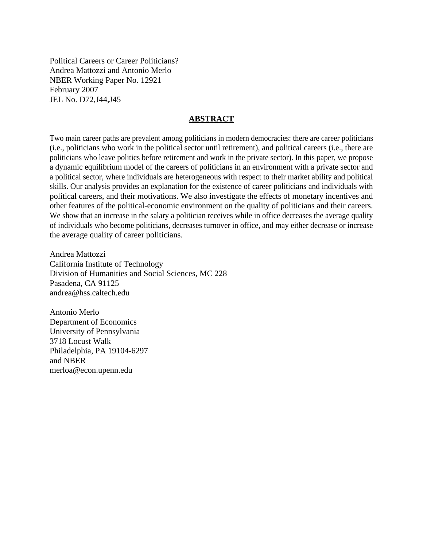Political Careers or Career Politicians? Andrea Mattozzi and Antonio Merlo NBER Working Paper No. 12921 February 2007 JEL No. D72,J44,J45

#### **ABSTRACT**

Two main career paths are prevalent among politicians in modern democracies: there are career politicians (i.e., politicians who work in the political sector until retirement), and political careers (i.e., there are politicians who leave politics before retirement and work in the private sector). In this paper, we propose a dynamic equilibrium model of the careers of politicians in an environment with a private sector and a political sector, where individuals are heterogeneous with respect to their market ability and political skills. Our analysis provides an explanation for the existence of career politicians and individuals with political careers, and their motivations. We also investigate the effects of monetary incentives and other features of the political-economic environment on the quality of politicians and their careers. We show that an increase in the salary a politician receives while in office decreases the average quality of individuals who become politicians, decreases turnover in office, and may either decrease or increase the average quality of career politicians.

Andrea Mattozzi California Institute of Technology Division of Humanities and Social Sciences, MC 228 Pasadena, CA 91125 andrea@hss.caltech.edu

Antonio Merlo Department of Economics University of Pennsylvania 3718 Locust Walk Philadelphia, PA 19104-6297 and NBER merloa@econ.upenn.edu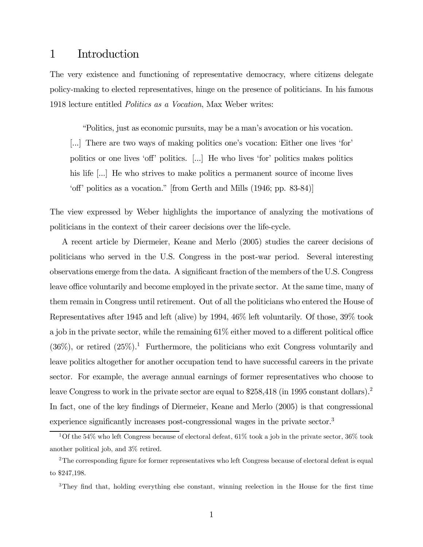## 1 Introduction

The very existence and functioning of representative democracy, where citizens delegate policy-making to elected representatives, hinge on the presence of politicians. In his famous 1918 lecture entitled Politics as a Vocation, Max Weber writes:

"Politics, just as economic pursuits, may be a man's avocation or his vocation. [...] There are two ways of making politics one's vocation: Either one lives 'for' politics or one lives 'off' politics. [...] He who lives 'for' politics makes politics his life [...] He who strives to make politics a permanent source of income lives 'off' politics as a vocation." [from Gerth and Mills (1946; pp. 83-84)]

The view expressed by Weber highlights the importance of analyzing the motivations of politicians in the context of their career decisions over the life-cycle.

A recent article by Diermeier, Keane and Merlo (2005) studies the career decisions of politicians who served in the U.S. Congress in the post-war period. Several interesting observations emerge from the data. A significant fraction of the members of the U.S. Congress leave office voluntarily and become employed in the private sector. At the same time, many of them remain in Congress until retirement. Out of all the politicians who entered the House of Representatives after 1945 and left (alive) by 1994, 46% left voluntarily. Of those, 39% took a job in the private sector, while the remaining 61% either moved to a different political office  $(36\%)$ , or retired  $(25\%)$ .<sup>1</sup> Furthermore, the politicians who exit Congress voluntarily and leave politics altogether for another occupation tend to have successful careers in the private sector. For example, the average annual earnings of former representatives who choose to leave Congress to work in the private sector are equal to \$258,418 (in 1995 constant dollars).<sup>2</sup> In fact, one of the key findings of Diermeier, Keane and Merlo (2005) is that congressional experience significantly increases post-congressional wages in the private sector.<sup>3</sup>

<sup>&</sup>lt;sup>1</sup>Of the 54% who left Congress because of electoral defeat, 61% took a job in the private sector, 36% took another political job, and 3% retired.

<sup>&</sup>lt;sup>2</sup>The corresponding figure for former representatives who left Congress because of electoral defeat is equal to \$247,198.

<sup>&</sup>lt;sup>3</sup>They find that, holding everything else constant, winning reelection in the House for the first time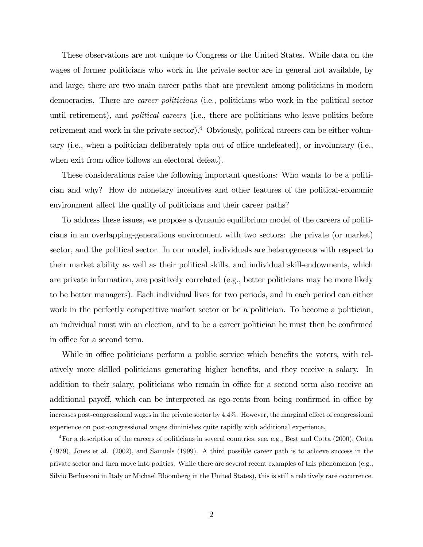These observations are not unique to Congress or the United States. While data on the wages of former politicians who work in the private sector are in general not available, by and large, there are two main career paths that are prevalent among politicians in modern democracies. There are career politicians (i.e., politicians who work in the political sector until retirement), and *political careers* (i.e., there are politicians who leave politics before retirement and work in the private sector).<sup>4</sup> Obviously, political careers can be either voluntary (i.e., when a politician deliberately opts out of office undefeated), or involuntary (i.e., when exit from office follows an electoral defeat).

These considerations raise the following important questions: Who wants to be a politician and why? How do monetary incentives and other features of the political-economic environment affect the quality of politicians and their career paths?

To address these issues, we propose a dynamic equilibrium model of the careers of politicians in an overlapping-generations environment with two sectors: the private (or market) sector, and the political sector. In our model, individuals are heterogeneous with respect to their market ability as well as their political skills, and individual skill-endowments, which are private information, are positively correlated (e.g., better politicians may be more likely to be better managers). Each individual lives for two periods, and in each period can either work in the perfectly competitive market sector or be a politician. To become a politician, an individual must win an election, and to be a career politician he must then be confirmed in office for a second term.

While in office politicians perform a public service which benefits the voters, with relatively more skilled politicians generating higher benefits, and they receive a salary. In addition to their salary, politicians who remain in office for a second term also receive an additional payoff, which can be interpreted as ego-rents from being confirmed in office by increases post-congressional wages in the private sector by 4.4%. However, the marginal effect of congressional experience on post-congressional wages diminishes quite rapidly with additional experience.

4For a description of the careers of politicians in several countries, see, e.g., Best and Cotta (2000), Cotta (1979), Jones et al. (2002), and Samuels (1999). A third possible career path is to achieve success in the private sector and then move into politics. While there are several recent examples of this phenomenon (e.g., Silvio Berlusconi in Italy or Michael Bloomberg in the United States), this is still a relatively rare occurrence.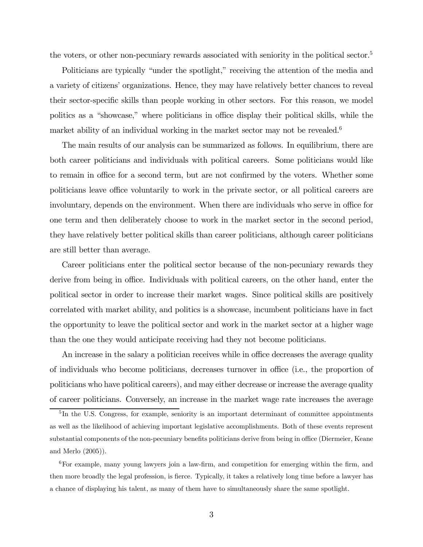the voters, or other non-pecuniary rewards associated with seniority in the political sector.<sup>5</sup>

Politicians are typically "under the spotlight," receiving the attention of the media and a variety of citizens' organizations. Hence, they may have relatively better chances to reveal their sector-specific skills than people working in other sectors. For this reason, we model politics as a "showcase," where politicians in office display their political skills, while the market ability of an individual working in the market sector may not be revealed.<sup>6</sup>

The main results of our analysis can be summarized as follows. In equilibrium, there are both career politicians and individuals with political careers. Some politicians would like to remain in office for a second term, but are not confirmed by the voters. Whether some politicians leave office voluntarily to work in the private sector, or all political careers are involuntary, depends on the environment. When there are individuals who serve in office for one term and then deliberately choose to work in the market sector in the second period, they have relatively better political skills than career politicians, although career politicians are still better than average.

Career politicians enter the political sector because of the non-pecuniary rewards they derive from being in office. Individuals with political careers, on the other hand, enter the political sector in order to increase their market wages. Since political skills are positively correlated with market ability, and politics is a showcase, incumbent politicians have in fact the opportunity to leave the political sector and work in the market sector at a higher wage than the one they would anticipate receiving had they not become politicians.

An increase in the salary a politician receives while in office decreases the average quality of individuals who become politicians, decreases turnover in office (i.e., the proportion of politicians who have political careers), and may either decrease or increase the average quality of career politicians. Conversely, an increase in the market wage rate increases the average

6For example, many young lawyers join a law-firm, and competition for emerging within the firm, and then more broadly the legal profession, is fierce. Typically, it takes a relatively long time before a lawyer has a chance of displaying his talent, as many of them have to simultaneously share the same spotlight.

<sup>&</sup>lt;sup>5</sup>In the U.S. Congress, for example, seniority is an important determinant of committee appointments as well as the likelihood of achieving important legislative accomplishments. Both of these events represent substantial components of the non-pecuniary benefits politicians derive from being in office (Diermeier, Keane and Merlo (2005)).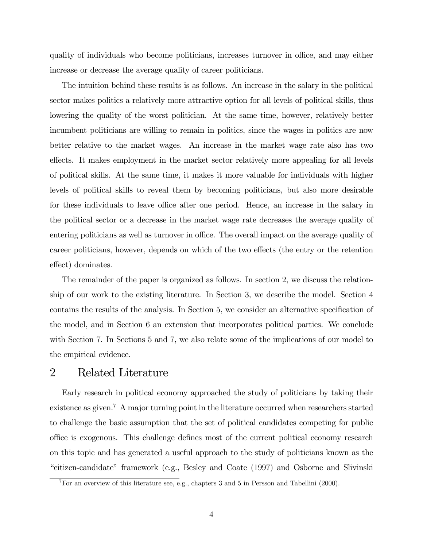quality of individuals who become politicians, increases turnover in office, and may either increase or decrease the average quality of career politicians.

The intuition behind these results is as follows. An increase in the salary in the political sector makes politics a relatively more attractive option for all levels of political skills, thus lowering the quality of the worst politician. At the same time, however, relatively better incumbent politicians are willing to remain in politics, since the wages in politics are now better relative to the market wages. An increase in the market wage rate also has two effects. It makes employment in the market sector relatively more appealing for all levels of political skills. At the same time, it makes it more valuable for individuals with higher levels of political skills to reveal them by becoming politicians, but also more desirable for these individuals to leave office after one period. Hence, an increase in the salary in the political sector or a decrease in the market wage rate decreases the average quality of entering politicians as well as turnover in office. The overall impact on the average quality of career politicians, however, depends on which of the two effects (the entry or the retention effect) dominates.

The remainder of the paper is organized as follows. In section 2, we discuss the relationship of our work to the existing literature. In Section 3, we describe the model. Section 4 contains the results of the analysis. In Section 5, we consider an alternative specification of the model, and in Section 6 an extension that incorporates political parties. We conclude with Section 7. In Sections 5 and 7, we also relate some of the implications of our model to the empirical evidence.

#### 2 Related Literature

Early research in political economy approached the study of politicians by taking their existence as given.<sup>7</sup> A major turning point in the literature occurred when researchers started to challenge the basic assumption that the set of political candidates competing for public office is exogenous. This challenge defines most of the current political economy research on this topic and has generated a useful approach to the study of politicians known as the "citizen-candidate" framework (e.g., Besley and Coate (1997) and Osborne and Slivinski

<sup>&</sup>lt;sup>7</sup>For an overview of this literature see, e.g., chapters 3 and 5 in Persson and Tabellini (2000).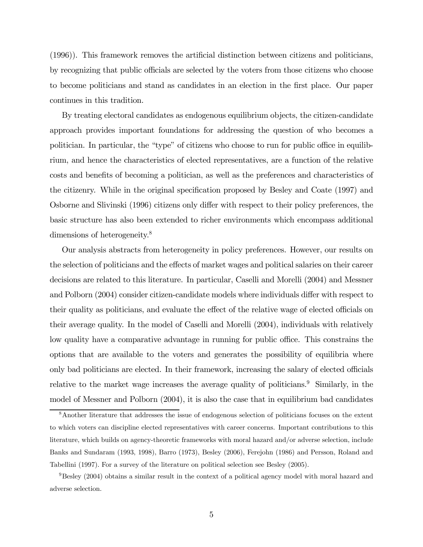(1996)). This framework removes the artificial distinction between citizens and politicians, by recognizing that public officials are selected by the voters from those citizens who choose to become politicians and stand as candidates in an election in the first place. Our paper continues in this tradition.

By treating electoral candidates as endogenous equilibrium objects, the citizen-candidate approach provides important foundations for addressing the question of who becomes a politician. In particular, the "type" of citizens who choose to run for public office in equilibrium, and hence the characteristics of elected representatives, are a function of the relative costs and benefits of becoming a politician, as well as the preferences and characteristics of the citizenry. While in the original specification proposed by Besley and Coate (1997) and Osborne and Slivinski (1996) citizens only differ with respect to their policy preferences, the basic structure has also been extended to richer environments which encompass additional dimensions of heterogeneity.<sup>8</sup>

Our analysis abstracts from heterogeneity in policy preferences. However, our results on the selection of politicians and the effects of market wages and political salaries on their career decisions are related to this literature. In particular, Caselli and Morelli (2004) and Messner and Polborn (2004) consider citizen-candidate models where individuals differ with respect to their quality as politicians, and evaluate the effect of the relative wage of elected officials on their average quality. In the model of Caselli and Morelli (2004), individuals with relatively low quality have a comparative advantage in running for public office. This constrains the options that are available to the voters and generates the possibility of equilibria where only bad politicians are elected. In their framework, increasing the salary of elected officials relative to the market wage increases the average quality of politicians.9 Similarly, in the model of Messner and Polborn (2004), it is also the case that in equilibrium bad candidates

<sup>8</sup>Another literature that addresses the issue of endogenous selection of politicians focuses on the extent to which voters can discipline elected representatives with career concerns. Important contributions to this literature, which builds on agency-theoretic frameworks with moral hazard and/or adverse selection, include Banks and Sundaram (1993, 1998), Barro (1973), Besley (2006), Ferejohn (1986) and Persson, Roland and Tabellini (1997). For a survey of the literature on political selection see Besley (2005).

 $9B$ Besley (2004) obtains a similar result in the context of a political agency model with moral hazard and adverse selection.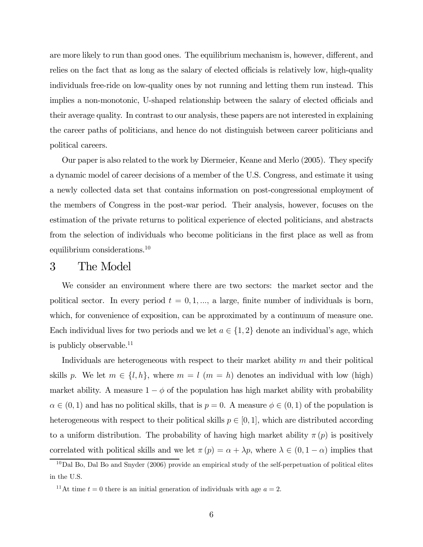are more likely to run than good ones. The equilibrium mechanism is, however, different, and relies on the fact that as long as the salary of elected officials is relatively low, high-quality individuals free-ride on low-quality ones by not running and letting them run instead. This implies a non-monotonic, U-shaped relationship between the salary of elected officials and their average quality. In contrast to our analysis, these papers are not interested in explaining the career paths of politicians, and hence do not distinguish between career politicians and political careers.

Our paper is also related to the work by Diermeier, Keane and Merlo (2005). They specify a dynamic model of career decisions of a member of the U.S. Congress, and estimate it using a newly collected data set that contains information on post-congressional employment of the members of Congress in the post-war period. Their analysis, however, focuses on the estimation of the private returns to political experience of elected politicians, and abstracts from the selection of individuals who become politicians in the first place as well as from equilibrium considerations.10

#### 3 The Model

We consider an environment where there are two sectors: the market sector and the political sector. In every period  $t = 0, 1, \dots$ , a large, finite number of individuals is born, which, for convenience of exposition, can be approximated by a continuum of measure one. Each individual lives for two periods and we let  $a \in \{1,2\}$  denote an individual's age, which is publicly observable. $^{11}$ 

Individuals are heterogeneous with respect to their market ability  $m$  and their political skills p. We let  $m \in \{l, h\}$ , where  $m = l$   $(m = h)$  denotes an individual with low (high) market ability. A measure  $1 - \phi$  of the population has high market ability with probability  $\alpha \in (0,1)$  and has no political skills, that is  $p = 0$ . A measure  $\phi \in (0,1)$  of the population is heterogeneous with respect to their political skills  $p \in [0, 1]$ , which are distributed according to a uniform distribution. The probability of having high market ability  $\pi(p)$  is positively correlated with political skills and we let  $\pi(p) = \alpha + \lambda p$ , where  $\lambda \in (0, 1 - \alpha)$  implies that

 $10$ Dal Bo, Dal Bo and Snyder (2006) provide an empirical study of the self-perpetuation of political elites in the U.S.

<sup>&</sup>lt;sup>11</sup>At time  $t = 0$  there is an initial generation of individuals with age  $a = 2$ .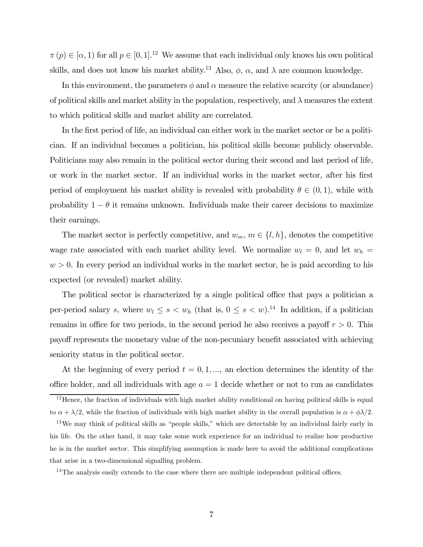$\pi(p) \in [\alpha, 1]$  for all  $p \in [0, 1]$ .<sup>12</sup> We assume that each individual only knows his own political skills, and does not know his market ability.<sup>13</sup> Also,  $\phi$ ,  $\alpha$ , and  $\lambda$  are common knowledge.

In this environment, the parameters  $\phi$  and  $\alpha$  measure the relative scarcity (or abundance) of political skills and market ability in the population, respectively, and  $\lambda$  measures the extent to which political skills and market ability are correlated.

In the first period of life, an individual can either work in the market sector or be a politician. If an individual becomes a politician, his political skills become publicly observable. Politicians may also remain in the political sector during their second and last period of life, or work in the market sector. If an individual works in the market sector, after his first period of employment his market ability is revealed with probability  $\theta \in (0,1)$ , while with probability  $1 - \theta$  it remains unknown. Individuals make their career decisions to maximize their earnings.

The market sector is perfectly competitive, and  $w_m$ ,  $m \in \{l, h\}$ , denotes the competitive wage rate associated with each market ability level. We normalize  $w_l = 0$ , and let  $w_h =$  $w > 0$ . In every period an individual works in the market sector, he is paid according to his expected (or revealed) market ability.

The political sector is characterized by a single political office that pays a politician a per-period salary s, where  $w_l \le s < w_h$  (that is,  $0 \le s < w$ ).<sup>14</sup> In addition, if a politician remains in office for two periods, in the second period he also receives a payoff  $r > 0$ . This payoff represents the monetary value of the non-pecuniary benefit associated with achieving seniority status in the political sector.

At the beginning of every period  $t = 0, 1, \dots$ , an election determines the identity of the office holder, and all individuals with age  $a = 1$  decide whether or not to run as candidates

 $14$ The analysis easily extends to the case where there are multiple independent political offices.

<sup>&</sup>lt;sup>12</sup>Hence, the fraction of individuals with high market ability conditional on having political skills is equal to  $\alpha + \lambda/2$ , while the fraction of individuals with high market ability in the overall population is  $\alpha + \phi\lambda/2$ .

<sup>&</sup>lt;sup>13</sup>We may think of political skills as "people skills," which are detectable by an individual fairly early in his life. On the other hand, it may take some work experience for an individual to realize how productive he is in the market sector. This simplifying assumption is made here to avoid the additional complications that arise in a two-dimensional signalling problem.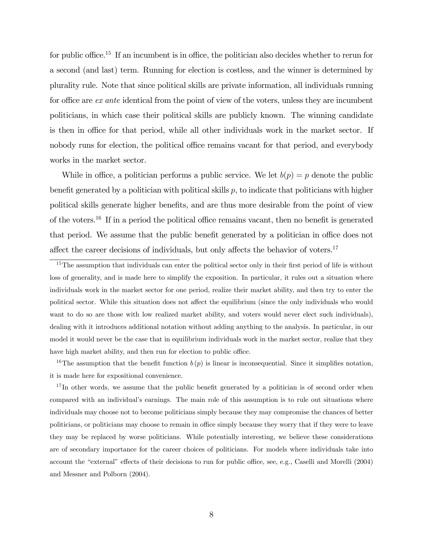for public office.<sup>15</sup> If an incumbent is in office, the politician also decides whether to rerun for a second (and last) term. Running for election is costless, and the winner is determined by plurality rule. Note that since political skills are private information, all individuals running for office are *ex ante* identical from the point of view of the voters, unless they are incumbent politicians, in which case their political skills are publicly known. The winning candidate is then in office for that period, while all other individuals work in the market sector. If nobody runs for election, the political office remains vacant for that period, and everybody works in the market sector.

While in office, a politician performs a public service. We let  $b(p) = p$  denote the public benefit generated by a politician with political skills  $p$ , to indicate that politicians with higher political skills generate higher benefits, and are thus more desirable from the point of view of the voters.16 If in a period the political office remains vacant, then no benefit is generated that period. We assume that the public benefit generated by a politician in office does not affect the career decisions of individuals, but only affects the behavior of voters.<sup>17</sup>

<sup>15</sup>The assumption that individuals can enter the political sector only in their first period of life is without loss of generality, and is made here to simplify the exposition. In particular, it rules out a situation where individuals work in the market sector for one period, realize their market ability, and then try to enter the political sector. While this situation does not affect the equilibrium (since the only individuals who would want to do so are those with low realized market ability, and voters would never elect such individuals), dealing with it introduces additional notation without adding anything to the analysis. In particular, in our model it would never be the case that in equilibrium individuals work in the market sector, realize that they have high market ability, and then run for election to public office.

<sup>16</sup>The assumption that the benefit function  $b(p)$  is linear is inconsequential. Since it simplifies notation, it is made here for expositional convenience.

 $17$ In other words, we assume that the public benefit generated by a politician is of second order when compared with an individual's earnings. The main role of this assumption is to rule out situations where individuals may choose not to become politicians simply because they may compromise the chances of better politicians, or politicians may choose to remain in office simply because they worry that if they were to leave they may be replaced by worse politicians. While potentially interesting, we believe these considerations are of secondary importance for the career choices of politicians. For models where individuals take into account the "external" effects of their decisions to run for public office, see, e.g., Caselli and Morelli (2004) and Messner and Polborn (2004).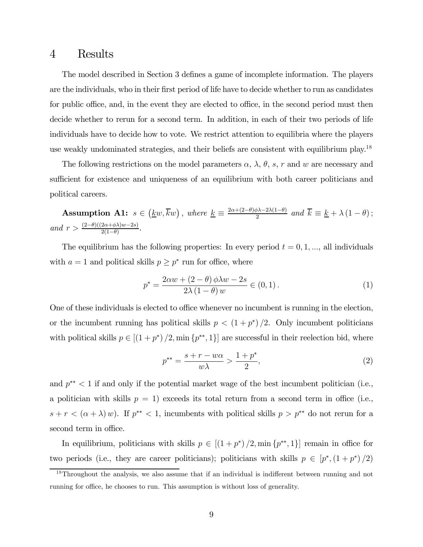#### 4 Results

The model described in Section 3 defines a game of incomplete information. The players are the individuals, who in their first period of life have to decide whether to run as candidates for public office, and, in the event they are elected to office, in the second period must then decide whether to rerun for a second term. In addition, in each of their two periods of life individuals have to decide how to vote. We restrict attention to equilibria where the players use weakly undominated strategies, and their beliefs are consistent with equilibrium play.<sup>18</sup>

The following restrictions on the model parameters  $\alpha$ ,  $\lambda$ ,  $\theta$ , s, r and w are necessary and sufficient for existence and uniqueness of an equilibrium with both career politicians and political careers.

Assumption A1:  $s \in (k w, \overline{k} w)$ , where  $k \equiv \frac{2\alpha + (2-\theta)\phi\lambda - 2\lambda(1-\theta)}{2}$  and  $\overline{k} \equiv k + \lambda(1-\theta)$ ; and  $r > \frac{(2-\theta)((2\alpha+\phi\lambda)w-2s)}{2(1-\theta)}$ .

The equilibrium has the following properties: In every period  $t = 0, 1, \dots$ , all individuals with  $a = 1$  and political skills  $p \geq p^*$  run for office, where

$$
p^* = \frac{2\alpha w + (2 - \theta)\phi\lambda w - 2s}{2\lambda(1 - \theta)w} \in (0, 1).
$$
 (1)

One of these individuals is elected to office whenever no incumbent is running in the election, or the incumbent running has political skills  $p < (1 + p^*)/2$ . Only incumbent politicians with political skills  $p \in [(1+p^*)/2, \min\{p^{**}, 1\}]$  are successful in their reelection bid, where

$$
p^{**} = \frac{s + r - w\alpha}{w\lambda} > \frac{1 + p^*}{2},\tag{2}
$$

and  $p^{**}$  < 1 if and only if the potential market wage of the best incumbent politician (i.e., a politician with skills  $p = 1$ ) exceeds its total return from a second term in office (i.e.,  $s + r < (\alpha + \lambda) w$ ). If  $p^{**} < 1$ , incumbents with political skills  $p > p^{**}$  do not rerun for a second term in office.

In equilibrium, politicians with skills  $p \in [(1 + p^*)/2, \min\{p^{**}, 1\}]$  remain in office for two periods (i.e., they are career politicians); politicians with skills  $p \in [p^*, (1 + p^*)/2)$ 

<sup>&</sup>lt;sup>18</sup>Throughout the analysis, we also assume that if an individual is indifferent between running and not running for office, he chooses to run. This assumption is without loss of generality.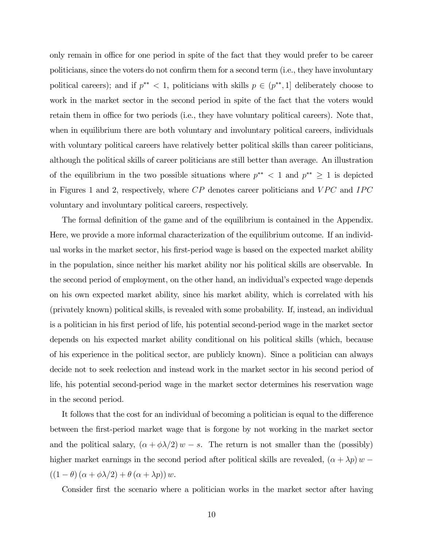only remain in office for one period in spite of the fact that they would prefer to be career politicians, since the voters do not confirm them for a second term (i.e., they have involuntary political careers); and if  $p^{**} < 1$ , politicians with skills  $p \in (p^{**}, 1]$  deliberately choose to work in the market sector in the second period in spite of the fact that the voters would retain them in office for two periods (i.e., they have voluntary political careers). Note that, when in equilibrium there are both voluntary and involuntary political careers, individuals with voluntary political careers have relatively better political skills than career politicians, although the political skills of career politicians are still better than average. An illustration of the equilibrium in the two possible situations where  $p^{**} < 1$  and  $p^{**} \geq 1$  is depicted in Figures 1 and 2, respectively, where CP denotes career politicians and VPC and IPC voluntary and involuntary political careers, respectively.

The formal definition of the game and of the equilibrium is contained in the Appendix. Here, we provide a more informal characterization of the equilibrium outcome. If an individual works in the market sector, his first-period wage is based on the expected market ability in the population, since neither his market ability nor his political skills are observable. In the second period of employment, on the other hand, an individual's expected wage depends on his own expected market ability, since his market ability, which is correlated with his (privately known) political skills, is revealed with some probability. If, instead, an individual is a politician in his first period of life, his potential second-period wage in the market sector depends on his expected market ability conditional on his political skills (which, because of his experience in the political sector, are publicly known). Since a politician can always decide not to seek reelection and instead work in the market sector in his second period of life, his potential second-period wage in the market sector determines his reservation wage in the second period.

It follows that the cost for an individual of becoming a politician is equal to the difference between the first-period market wage that is forgone by not working in the market sector and the political salary,  $(\alpha + \phi \lambda/2) w - s$ . The return is not smaller than the (possibly) higher market earnings in the second period after political skills are revealed,  $(\alpha + \lambda p) w$  −  $((1 - \theta)(\alpha + \phi \lambda/2) + \theta (\alpha + \lambda p)) w.$ 

Consider first the scenario where a politician works in the market sector after having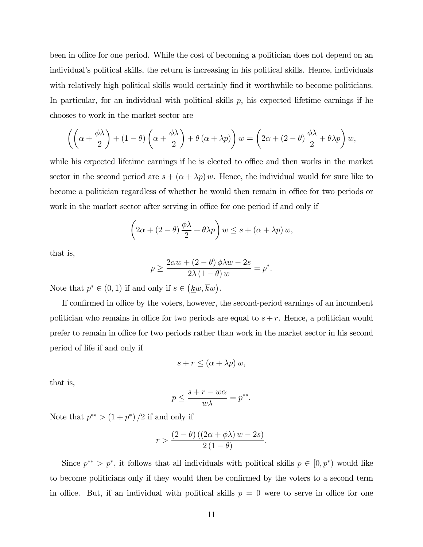been in office for one period. While the cost of becoming a politician does not depend on an individual's political skills, the return is increasing in his political skills. Hence, individuals with relatively high political skills would certainly find it worthwhile to become politicians. In particular, for an individual with political skills  $p$ , his expected lifetime earnings if he chooses to work in the market sector are

$$
\left(\left(\alpha + \frac{\phi\lambda}{2}\right) + (1-\theta)\left(\alpha + \frac{\phi\lambda}{2}\right) + \theta\left(\alpha + \lambda p\right)\right)w = \left(2\alpha + (2-\theta)\frac{\phi\lambda}{2} + \theta\lambda p\right)w,
$$

while his expected lifetime earnings if he is elected to office and then works in the market sector in the second period are  $s + (\alpha + \lambda p) w$ . Hence, the individual would for sure like to become a politician regardless of whether he would then remain in office for two periods or work in the market sector after serving in office for one period if and only if

$$
\left(2\alpha + (2-\theta)\frac{\phi\lambda}{2} + \theta\lambda p\right)w \leq s + (\alpha + \lambda p)w,
$$

that is,

$$
p \ge \frac{2\alpha w + (2 - \theta)\phi\lambda w - 2s}{2\lambda(1 - \theta) w} = p^*.
$$

Note that  $p^* \in (0, 1)$  if and only if  $s \in (\underline{kw}, \overline{kw})$ .

If confirmed in office by the voters, however, the second-period earnings of an incumbent politician who remains in office for two periods are equal to  $s + r$ . Hence, a politician would prefer to remain in office for two periods rather than work in the market sector in his second period of life if and only if

$$
s + r \leq (\alpha + \lambda p) w,
$$

that is,

$$
p \le \frac{s + r - w\alpha}{w\lambda} = p^{**}.
$$

Note that  $p^{**}$  >  $(1+p^*)/2$  if and only if

$$
r > \frac{\left(2 - \theta\right)\left(\left(2\alpha + \phi\lambda\right)w - 2s\right)}{2\left(1 - \theta\right)}.
$$

Since  $p^{**} > p^*$ , it follows that all individuals with political skills  $p \in [0, p^*)$  would like to become politicians only if they would then be confirmed by the voters to a second term in office. But, if an individual with political skills  $p = 0$  were to serve in office for one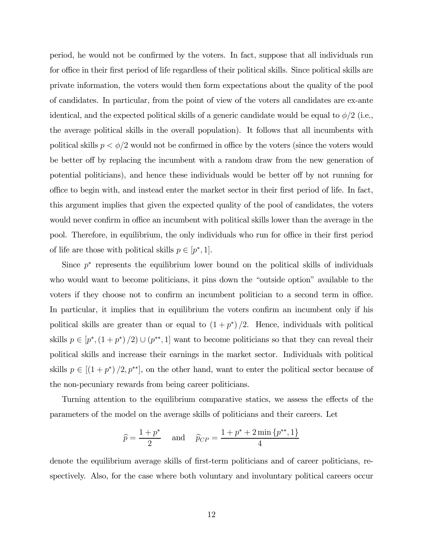period, he would not be confirmed by the voters. In fact, suppose that all individuals run for office in their first period of life regardless of their political skills. Since political skills are private information, the voters would then form expectations about the quality of the pool of candidates. In particular, from the point of view of the voters all candidates are ex-ante identical, and the expected political skills of a generic candidate would be equal to  $\phi/2$  (i.e., the average political skills in the overall population). It follows that all incumbents with political skills  $p < \phi/2$  would not be confirmed in office by the voters (since the voters would be better off by replacing the incumbent with a random draw from the new generation of potential politicians), and hence these individuals would be better off by not running for office to begin with, and instead enter the market sector in their first period of life. In fact, this argument implies that given the expected quality of the pool of candidates, the voters would never confirm in office an incumbent with political skills lower than the average in the pool. Therefore, in equilibrium, the only individuals who run for office in their first period of life are those with political skills  $p \in [p^*, 1]$ .

Since  $p^*$  represents the equilibrium lower bound on the political skills of individuals who would want to become politicians, it pins down the "outside option" available to the voters if they choose not to confirm an incumbent politician to a second term in office. In particular, it implies that in equilibrium the voters confirm an incumbent only if his political skills are greater than or equal to  $(1 + p^*)/2$ . Hence, individuals with political skills  $p \in [p^*, (1 + p^*)/2) \cup (p^{**}, 1]$  want to become politicians so that they can reveal their political skills and increase their earnings in the market sector. Individuals with political skills  $p \in [(1+p^*)/2, p^{**}]$ , on the other hand, want to enter the political sector because of the non-pecuniary rewards from being career politicians.

Turning attention to the equilibrium comparative statics, we assess the effects of the parameters of the model on the average skills of politicians and their careers. Let

$$
\widehat{p} = \frac{1+p^*}{2}
$$
 and  $\widehat{p}_{CP} = \frac{1+p^*+2\min\{p^{**},1\}}{4}$ 

denote the equilibrium average skills of first-term politicians and of career politicians, respectively. Also, for the case where both voluntary and involuntary political careers occur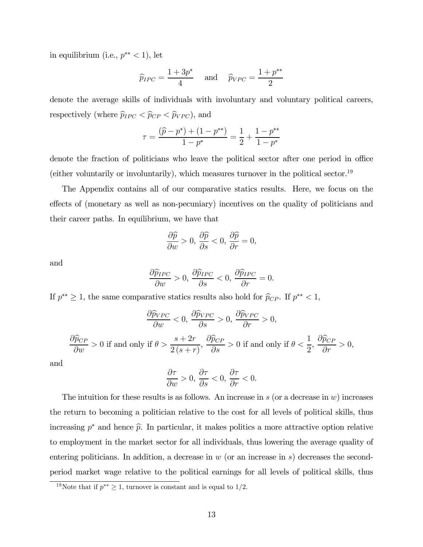in equilibrium (i.e.,  $p^{**} < 1$ ), let

$$
\widehat{p}_{IPC} = \frac{1+3p^*}{4} \quad \text{ and } \quad \widehat{p}_{VPC} = \frac{1+p^{**}}{2}
$$

denote the average skills of individuals with involuntary and voluntary political careers, respectively (where  $\widehat{p}_{IPC} < \widehat{p}_{CP} < \widehat{p}_{VPC}$ ), and

$$
\tau = \frac{(\hat{p} - p^*) + (1 - p^{**})}{1 - p^*} = \frac{1}{2} + \frac{1 - p^{**}}{1 - p^*}
$$

denote the fraction of politicians who leave the political sector after one period in office (either voluntarily or involuntarily), which measures turnover in the political sector.19

The Appendix contains all of our comparative statics results. Here, we focus on the effects of (monetary as well as non-pecuniary) incentives on the quality of politicians and their career paths. In equilibrium, we have that

$$
\frac{\partial \widehat{p}}{\partial w} > 0, \frac{\partial \widehat{p}}{\partial s} < 0, \frac{\partial \widehat{p}}{\partial r} = 0,
$$

and

$$
\frac{\partial \widehat{p}_{IPC}}{\partial w} > 0, \frac{\partial \widehat{p}_{IPC}}{\partial s} < 0, \frac{\partial \widehat{p}_{IPC}}{\partial r} = 0.
$$

If  $p^{**} \geq 1$ , the same comparative statics results also hold for  $\widehat{p}_{CP}$ . If  $p^{**} < 1$ ,

$$
\frac{\partial \widehat{p}_{VPC}}{\partial w} < 0, \frac{\partial \widehat{p}_{VPC}}{\partial s} > 0, \frac{\partial \widehat{p}_{VPC}}{\partial r} > 0,
$$
\n
$$
\frac{\partial \widehat{p}_{CP}}{\partial w} > 0 \text{ if and only if } \theta > \frac{s + 2r}{2(s + r)}, \frac{\partial \widehat{p}_{CP}}{\partial s} > 0 \text{ if and only if } \theta < \frac{1}{2}, \frac{\partial \widehat{p}_{CP}}{\partial r} > 0,
$$

and

$$
\frac{\partial \tau}{\partial w} > 0, \frac{\partial \tau}{\partial s} < 0, \frac{\partial \tau}{\partial r} < 0.
$$

The intuition for these results is as follows. An increase in s (or a decrease in w) increases the return to becoming a politician relative to the cost for all levels of political skills, thus increasing  $p^*$  and hence  $\hat{p}$ . In particular, it makes politics a more attractive option relative to employment in the market sector for all individuals, thus lowering the average quality of entering politicians. In addition, a decrease in  $w$  (or an increase in  $s$ ) decreases the secondperiod market wage relative to the political earnings for all levels of political skills, thus

<sup>&</sup>lt;sup>19</sup>Note that if  $p^{**} \geq 1$ , turnover is constant and is equal to 1/2.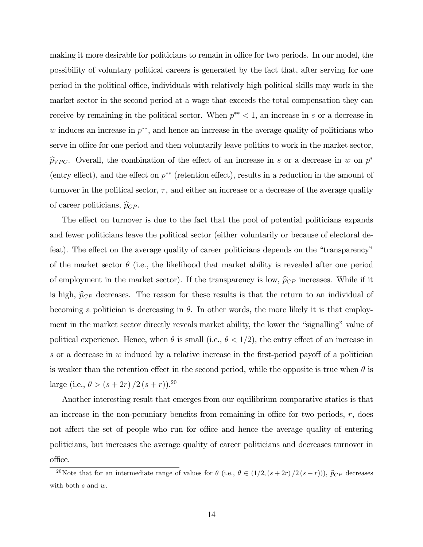making it more desirable for politicians to remain in office for two periods. In our model, the possibility of voluntary political careers is generated by the fact that, after serving for one period in the political office, individuals with relatively high political skills may work in the market sector in the second period at a wage that exceeds the total compensation they can receive by remaining in the political sector. When  $p^{**} < 1$ , an increase in s or a decrease in w induces an increase in  $p^{**}$ , and hence an increase in the average quality of politicians who serve in office for one period and then voluntarily leave politics to work in the market sector,  $\widehat{p}_{VPC}$ . Overall, the combination of the effect of an increase in s or a decrease in w on  $p^*$ (entry effect), and the effect on  $p^{**}$  (retention effect), results in a reduction in the amount of turnover in the political sector,  $\tau$ , and either an increase or a decrease of the average quality of career politicians,  $\widehat{p}_{CP}$ .

The effect on turnover is due to the fact that the pool of potential politicians expands and fewer politicians leave the political sector (either voluntarily or because of electoral defeat). The effect on the average quality of career politicians depends on the "transparency" of the market sector  $\theta$  (i.e., the likelihood that market ability is revealed after one period of employment in the market sector). If the transparency is low,  $\hat{p}_{CP}$  increases. While if it is high,  $\hat{p}_{CP}$  decreases. The reason for these results is that the return to an individual of becoming a politician is decreasing in  $\theta$ . In other words, the more likely it is that employment in the market sector directly reveals market ability, the lower the "signalling" value of political experience. Hence, when  $\theta$  is small (i.e.,  $\theta < 1/2$ ), the entry effect of an increase in s or a decrease in  $w$  induced by a relative increase in the first-period payoff of a politician is weaker than the retention effect in the second period, while the opposite is true when  $\theta$  is large (i.e.,  $\theta > (s + 2r)/2 (s + r)$ ).<sup>20</sup>

Another interesting result that emerges from our equilibrium comparative statics is that an increase in the non-pecuniary benefits from remaining in office for two periods,  $r$ , does not affect the set of people who run for office and hence the average quality of entering politicians, but increases the average quality of career politicians and decreases turnover in office.

<sup>&</sup>lt;sup>20</sup>Note that for an intermediate range of values for  $\theta$  (i.e.,  $\theta \in (1/2, (s+2r)/2(s+r))$ ),  $\hat{p}_{CP}$  decreases with both s and w.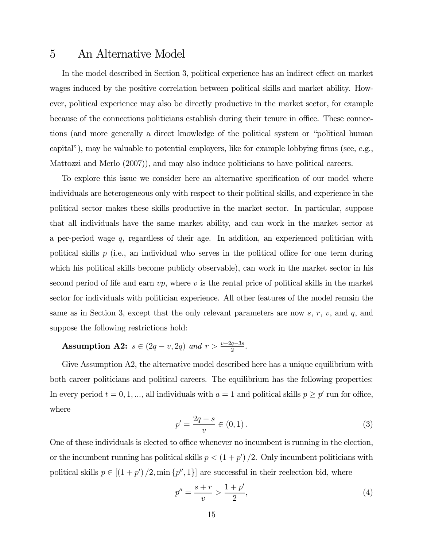### 5 An Alternative Model

In the model described in Section 3, political experience has an indirect effect on market wages induced by the positive correlation between political skills and market ability. However, political experience may also be directly productive in the market sector, for example because of the connections politicians establish during their tenure in office. These connections (and more generally a direct knowledge of the political system or "political human capital"), may be valuable to potential employers, like for example lobbying firms (see, e.g., Mattozzi and Merlo (2007)), and may also induce politicians to have political careers.

To explore this issue we consider here an alternative specification of our model where individuals are heterogeneous only with respect to their political skills, and experience in the political sector makes these skills productive in the market sector. In particular, suppose that all individuals have the same market ability, and can work in the market sector at a per-period wage q, regardless of their age. In addition, an experienced politician with political skills  $p$  (i.e., an individual who serves in the political office for one term during which his political skills become publicly observable), can work in the market sector in his second period of life and earn  $vp$ , where v is the rental price of political skills in the market sector for individuals with politician experience. All other features of the model remain the same as in Section 3, except that the only relevant parameters are now  $s, r, v$ , and  $q$ , and suppose the following restrictions hold:

# Assumption A2:  $s \in (2q - v, 2q)$  and  $r > \frac{v+2q-3s}{2}$ .

Give Assumption A2, the alternative model described here has a unique equilibrium with both career politicians and political careers. The equilibrium has the following properties: In every period  $t = 0, 1, ...,$  all individuals with  $a = 1$  and political skills  $p \geq p'$  run for office, where

$$
p' = \frac{2q - s}{v} \in (0, 1).
$$
 (3)

One of these individuals is elected to office whenever no incumbent is running in the election, or the incumbent running has political skills  $p < (1 + p')/2$ . Only incumbent politicians with political skills  $p \in [(1 + p')/2, \min\{p'', 1\}]$  are successful in their reelection bid, where

$$
p'' = \frac{s+r}{v} > \frac{1+p'}{2},\tag{4}
$$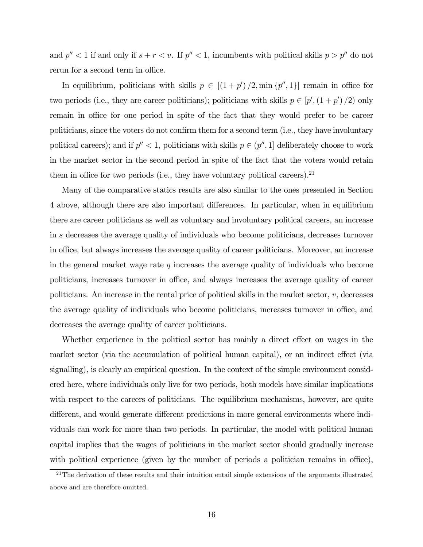and  $p'' < 1$  if and only if  $s + r < v$ . If  $p'' < 1$ , incumbents with political skills  $p > p''$  do not rerun for a second term in office.

In equilibrium, politicians with skills  $p \in [(1+p')/2, \min\{p'', 1\}]$  remain in office for two periods (i.e., they are career politicians); politicians with skills  $p \in [p', (1 + p')/2)$  only remain in office for one period in spite of the fact that they would prefer to be career politicians, since the voters do not confirm them for a second term (i.e., they have involuntary political careers); and if  $p'' < 1$ , politicians with skills  $p \in (p'', 1]$  deliberately choose to work in the market sector in the second period in spite of the fact that the voters would retain them in office for two periods (i.e., they have voluntary political careers).<sup>21</sup>

Many of the comparative statics results are also similar to the ones presented in Section 4 above, although there are also important differences. In particular, when in equilibrium there are career politicians as well as voluntary and involuntary political careers, an increase in s decreases the average quality of individuals who become politicians, decreases turnover in office, but always increases the average quality of career politicians. Moreover, an increase in the general market wage rate  $q$  increases the average quality of individuals who become politicians, increases turnover in office, and always increases the average quality of career politicians. An increase in the rental price of political skills in the market sector,  $v$ , decreases the average quality of individuals who become politicians, increases turnover in office, and decreases the average quality of career politicians.

Whether experience in the political sector has mainly a direct effect on wages in the market sector (via the accumulation of political human capital), or an indirect effect (via signalling), is clearly an empirical question. In the context of the simple environment considered here, where individuals only live for two periods, both models have similar implications with respect to the careers of politicians. The equilibrium mechanisms, however, are quite different, and would generate different predictions in more general environments where individuals can work for more than two periods. In particular, the model with political human capital implies that the wages of politicians in the market sector should gradually increase with political experience (given by the number of periods a politician remains in office),

 $21$ The derivation of these results and their intuition entail simple extensions of the arguments illustrated above and are therefore omitted.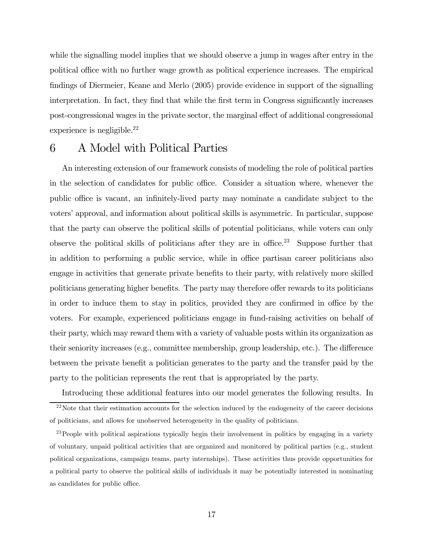while the signalling model implies that we should observe a jump in wages after entry in the political office with no further wage growth as political experience increases. The empirical findings of Diermeier, Keane and Merlo (2005) provide evidence in support of the signalling interpretation. In fact, they find that while the first term in Congress significantly increases post-congressional wages in the private sector, the marginal effect of additional congressional experience is negligible. $^{22}$ 

### 6 A Model with Political Parties

An interesting extension of our framework consists of modeling the role of political parties in the selection of candidates for public office. Consider a situation where, whenever the public office is vacant, an infinitely-lived party may nominate a candidate subject to the voters' approval, and information about political skills is asymmetric. In particular, suppose that the party can observe the political skills of potential politicians, while voters can only observe the political skills of politicians after they are in office.<sup>23</sup> Suppose further that in addition to performing a public service, while in office partisan career politicians also engage in activities that generate private benefits to their party, with relatively more skilled politicians generating higher benefits. The party may therefore offer rewards to its politicians in order to induce them to stay in politics, provided they are confirmed in office by the voters. For example, experienced politicians engage in fund-raising activities on behalf of their party, which may reward them with a variety of valuable posts within its organization as their seniority increases (e.g., committee membership, group leadership, etc.). The difference between the private benefit a politician generates to the party and the transfer paid by the party to the politician represents the rent that is appropriated by the party.

Introducing these additional features into our model generates the following results. In

 $22$ Note that their estimation accounts for the selection induced by the endogeneity of the career decisions of politicians, and allows for unobserved heterogeneity in the quality of politicians.

<sup>&</sup>lt;sup>23</sup> People with political aspirations typically begin their involvement in politics by engaging in a variety of voluntary, unpaid political activities that are organized and monitored by political parties (e.g., student political organizations, campaign teams, party internships). These activities thus provide opportunities for a political party to observe the political skills of individuals it may be potentially interested in nominating as candidates for public office.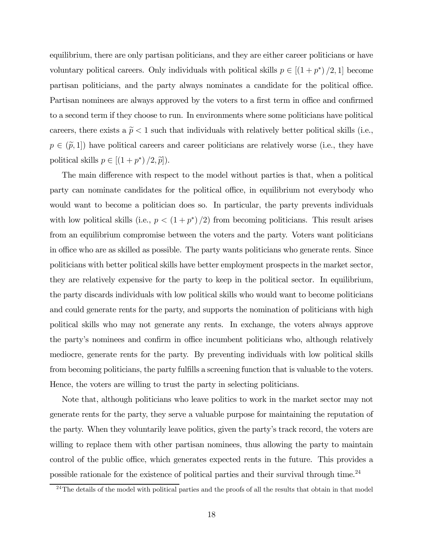equilibrium, there are only partisan politicians, and they are either career politicians or have voluntary political careers. Only individuals with political skills  $p \in [(1 + p^*)/2, 1]$  become partisan politicians, and the party always nominates a candidate for the political office. Partisan nominees are always approved by the voters to a first term in office and confirmed to a second term if they choose to run. In environments where some politicians have political careers, there exists a  $\tilde{p} < 1$  such that individuals with relatively better political skills (i.e.,  $p \in (\tilde{p}, 1]$ ) have political careers and career politicians are relatively worse (i.e., they have political skills  $p \in [(1+p^*)/2, \tilde{p}].$ 

The main difference with respect to the model without parties is that, when a political party can nominate candidates for the political office, in equilibrium not everybody who would want to become a politician does so. In particular, the party prevents individuals with low political skills (i.e.,  $p < (1+p^*)/2$ ) from becoming politicians. This result arises from an equilibrium compromise between the voters and the party. Voters want politicians in office who are as skilled as possible. The party wants politicians who generate rents. Since politicians with better political skills have better employment prospects in the market sector, they are relatively expensive for the party to keep in the political sector. In equilibrium, the party discards individuals with low political skills who would want to become politicians and could generate rents for the party, and supports the nomination of politicians with high political skills who may not generate any rents. In exchange, the voters always approve the party's nominees and confirm in office incumbent politicians who, although relatively mediocre, generate rents for the party. By preventing individuals with low political skills from becoming politicians, the party fulfills a screening function that is valuable to the voters. Hence, the voters are willing to trust the party in selecting politicians.

Note that, although politicians who leave politics to work in the market sector may not generate rents for the party, they serve a valuable purpose for maintaining the reputation of the party. When they voluntarily leave politics, given the party's track record, the voters are willing to replace them with other partisan nominees, thus allowing the party to maintain control of the public office, which generates expected rents in the future. This provides a possible rationale for the existence of political parties and their survival through time.<sup>24</sup>

 $24$ The details of the model with political parties and the proofs of all the results that obtain in that model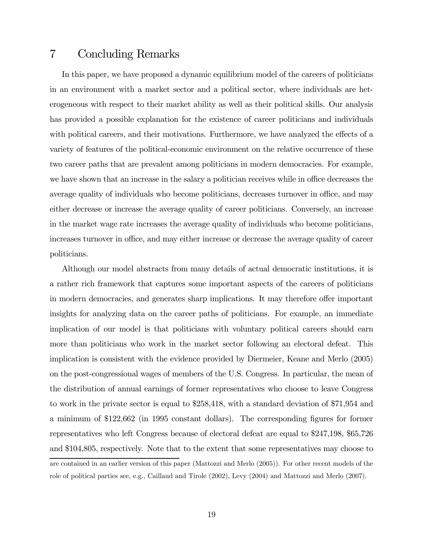# 7 Concluding Remarks

In this paper, we have proposed a dynamic equilibrium model of the careers of politicians in an environment with a market sector and a political sector, where individuals are heterogeneous with respect to their market ability as well as their political skills. Our analysis has provided a possible explanation for the existence of career politicians and individuals with political careers, and their motivations. Furthermore, we have analyzed the effects of a variety of features of the political-economic environment on the relative occurrence of these two career paths that are prevalent among politicians in modern democracies. For example, we have shown that an increase in the salary a politician receives while in office decreases the average quality of individuals who become politicians, decreases turnover in office, and may either decrease or increase the average quality of career politicians. Conversely, an increase in the market wage rate increases the average quality of individuals who become politicians, increases turnover in office, and may either increase or decrease the average quality of career politicians.

Although our model abstracts from many details of actual democratic institutions, it is a rather rich framework that captures some important aspects of the careers of politicians in modern democracies, and generates sharp implications. It may therefore offer important insights for analyzing data on the career paths of politicians. For example, an immediate implication of our model is that politicians with voluntary political careers should earn more than politicians who work in the market sector following an electoral defeat. This implication is consistent with the evidence provided by Diermeier, Keane and Merlo (2005) on the post-congressional wages of members of the U.S. Congress. In particular, the mean of the distribution of annual earnings of former representatives who choose to leave Congress to work in the private sector is equal to \$258,418, with a standard deviation of \$71,954 and a minimum of \$122,662 (in 1995 constant dollars). The corresponding figures for former representatives who left Congress because of electoral defeat are equal to \$247,198, \$65,726 and \$104,805, respectively. Note that to the extent that some representatives may choose to

are contained in an earlier version of this paper (Mattozzi and Merlo (2005)). For other recent models of the role of political parties see, e.g., Caillaud and Tirole (2002), Levy (2004) and Mattozzi and Merlo (2007).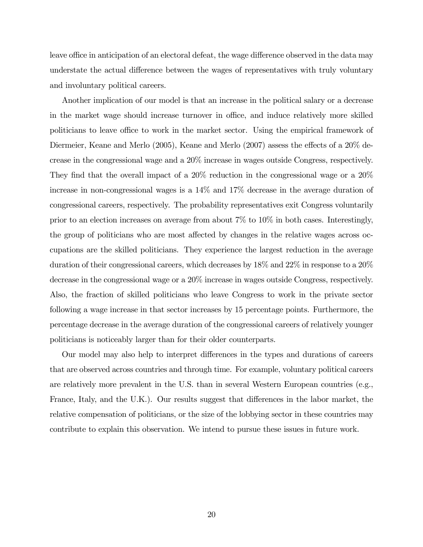leave office in anticipation of an electoral defeat, the wage difference observed in the data may understate the actual difference between the wages of representatives with truly voluntary and involuntary political careers.

Another implication of our model is that an increase in the political salary or a decrease in the market wage should increase turnover in office, and induce relatively more skilled politicians to leave office to work in the market sector. Using the empirical framework of Diermeier, Keane and Merlo (2005), Keane and Merlo (2007) assess the effects of a 20% decrease in the congressional wage and a 20% increase in wages outside Congress, respectively. They find that the overall impact of a 20% reduction in the congressional wage or a 20% increase in non-congressional wages is a 14% and 17% decrease in the average duration of congressional careers, respectively. The probability representatives exit Congress voluntarily prior to an election increases on average from about 7% to 10% in both cases. Interestingly, the group of politicians who are most affected by changes in the relative wages across occupations are the skilled politicians. They experience the largest reduction in the average duration of their congressional careers, which decreases by 18% and 22% in response to a 20% decrease in the congressional wage or a 20% increase in wages outside Congress, respectively. Also, the fraction of skilled politicians who leave Congress to work in the private sector following a wage increase in that sector increases by 15 percentage points. Furthermore, the percentage decrease in the average duration of the congressional careers of relatively younger politicians is noticeably larger than for their older counterparts.

Our model may also help to interpret differences in the types and durations of careers that are observed across countries and through time. For example, voluntary political careers are relatively more prevalent in the U.S. than in several Western European countries (e.g., France, Italy, and the U.K.). Our results suggest that differences in the labor market, the relative compensation of politicians, or the size of the lobbying sector in these countries may contribute to explain this observation. We intend to pursue these issues in future work.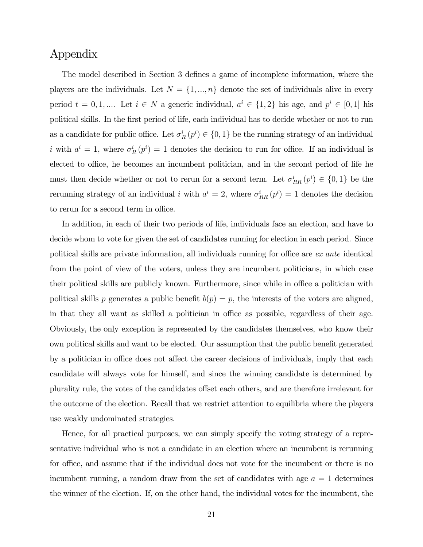# Appendix

The model described in Section 3 defines a game of incomplete information, where the players are the individuals. Let  $N = \{1, ..., n\}$  denote the set of individuals alive in every period  $t = 0, 1, ...$  Let  $i \in N$  a generic individual,  $a^i \in \{1, 2\}$  his age, and  $p^i \in [0, 1]$  his political skills. In the first period of life, each individual has to decide whether or not to run as a candidate for public office. Let  $\sigma_R^i(p^i) \in \{0,1\}$  be the running strategy of an individual i with  $a^i = 1$ , where  $\sigma_R^i(p^i) = 1$  denotes the decision to run for office. If an individual is elected to office, he becomes an incumbent politician, and in the second period of life he must then decide whether or not to rerun for a second term. Let  $\sigma_{RR}^i(p^i) \in \{0,1\}$  be the rerunning strategy of an individual i with  $a^i = 2$ , where  $\sigma_{RR}^i(p^i) = 1$  denotes the decision to rerun for a second term in office.

In addition, in each of their two periods of life, individuals face an election, and have to decide whom to vote for given the set of candidates running for election in each period. Since political skills are private information, all individuals running for office are ex ante identical from the point of view of the voters, unless they are incumbent politicians, in which case their political skills are publicly known. Furthermore, since while in office a politician with political skills p generates a public benefit  $b(p) = p$ , the interests of the voters are aligned, in that they all want as skilled a politician in office as possible, regardless of their age. Obviously, the only exception is represented by the candidates themselves, who know their own political skills and want to be elected. Our assumption that the public benefit generated by a politician in office does not affect the career decisions of individuals, imply that each candidate will always vote for himself, and since the winning candidate is determined by plurality rule, the votes of the candidates offset each others, and are therefore irrelevant for the outcome of the election. Recall that we restrict attention to equilibria where the players use weakly undominated strategies.

Hence, for all practical purposes, we can simply specify the voting strategy of a representative individual who is not a candidate in an election where an incumbent is rerunning for office, and assume that if the individual does not vote for the incumbent or there is no incumbent running, a random draw from the set of candidates with age  $a = 1$  determines the winner of the election. If, on the other hand, the individual votes for the incumbent, the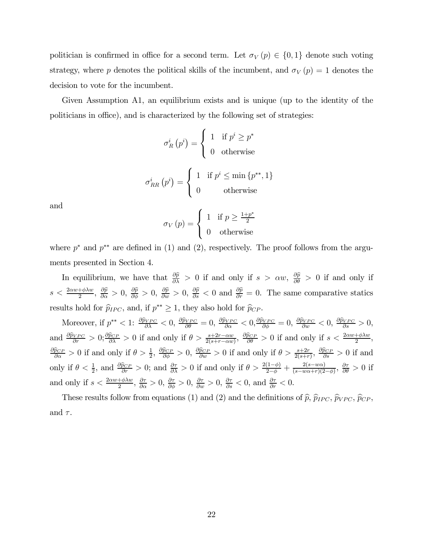politician is confirmed in office for a second term. Let  $\sigma_V(p) \in \{0,1\}$  denote such voting strategy, where p denotes the political skills of the incumbent, and  $\sigma_V(p)=1$  denotes the decision to vote for the incumbent.

Given Assumption A1, an equilibrium exists and is unique (up to the identity of the politicians in office), and is characterized by the following set of strategies:

$$
\sigma_{R}^{i}(p^{i}) = \begin{cases} 1 & \text{if } p^{i} \geq p^{*} \\ 0 & \text{otherwise} \end{cases}
$$

$$
\sigma_{RR}^{i}(p^{i}) = \begin{cases} 1 & \text{if } p^{i} \leq \min\{p^{**}, 1\} \\ 0 & \text{otherwise} \end{cases}
$$

and

$$
\sigma_V(p) = \begin{cases} 1 & \text{if } p \ge \frac{1+p^*}{2} \\ 0 & \text{otherwise} \end{cases}
$$

where  $p^*$  and  $p^{**}$  are defined in (1) and (2), respectively. The proof follows from the arguments presented in Section 4.

In equilibrium, we have that  $\frac{\partial \hat{p}}{\partial \lambda} > 0$  if and only if  $s > \alpha w$ ,  $\frac{\partial \hat{p}}{\partial \theta} > 0$  if and only if  $s < \frac{2\alpha w + \phi \lambda w}{2}, \frac{\partial \hat{p}}{\partial \alpha} > 0, \frac{\partial \hat{p}}{\partial \phi} > 0, \frac{\partial \hat{p}}{\partial w} > 0, \frac{\partial \hat{p}}{\partial s} < 0$  and  $\frac{\partial \hat{p}}{\partial r} = 0$ . The same comparative statics results hold for  $\widehat{p}_{IPC}$ , and, if  $p^{**} \geq 1$ , they also hold for  $\widehat{p}_{CP}$ .

Moreover, if  $p^{**} < 1$ :  $\frac{\partial \hat{p}_{VPC}}{\partial \lambda} < 0$ ,  $\frac{\partial \hat{p}_{VPC}}{\partial \theta} = 0$ ,  $\frac{\partial \hat{p}_{VPC}}{\partial \alpha} < 0$ ,  $\frac{\partial \hat{p}_{VPC}}{\partial \phi} = 0$ ,  $\frac{\partial \hat{p}_{VPC}}{\partial w} < 0$ ,  $\frac{\partial \hat{p}_{VPC}}{\partial s} > 0$ , and  $\frac{\partial \hat{p}_{VPC}}{\partial r} > 0$ ; $\frac{\partial \hat{p}_{CP}}{\partial \lambda} > 0$  if and only if  $\theta > \frac{s+2r-\alpha w}{2(s+r-\alpha w)}$ ,  $\frac{\partial \hat{p}_{CP}}{\partial \theta} > 0$  if and only if  $s < \frac{2\alpha w + \phi \lambda w}{2}$ ,  $\frac{\partial \hat{p}_{CP}}{\partial \alpha} > 0$  if and only if  $\theta > \frac{1}{2}$ ,  $\frac{\partial \hat{p}_{CP}}{\partial \phi} > 0$ ,  $\frac{\partial \hat{p}_{CP}}{\partial w} > 0$  if and only if  $\theta > \frac{s+2r}{2(s+r)}$ ,  $\frac{\partial \hat{p}_{CP}}{\partial s} > 0$  if and only if  $\theta < \frac{1}{2}$ , and  $\frac{\partial \hat{p}_{CP}}{\partial r} > 0$ ; and  $\frac{\partial \tau}{\partial \lambda} > 0$  if and only if  $\theta > \frac{2(1-\phi)}{2-\phi} + \frac{2(s-w\alpha)}{(s-w\alpha+r)(2-\phi)}$ ,  $\frac{\partial \tau}{\partial \theta} > 0$  if and only if  $s < \frac{2\alpha w + \phi \lambda w}{2}$ ,  $\frac{\partial \tau}{\partial \alpha} > 0$ ,  $\frac{\partial \tau}{\partial \phi} > 0$ ,  $\frac{\partial \tau}{\partial w} > 0$ ,  $\frac{\partial \tau}{\partial s} < 0$ , and  $\frac{\partial \tau}{\partial r} < 0$ .

These results follow from equations (1) and (2) and the definitions of  $\hat{p}, \hat{p}_{IPC}, \hat{p}_{VPC}, \hat{p}_{CP}$ and  $\tau$ .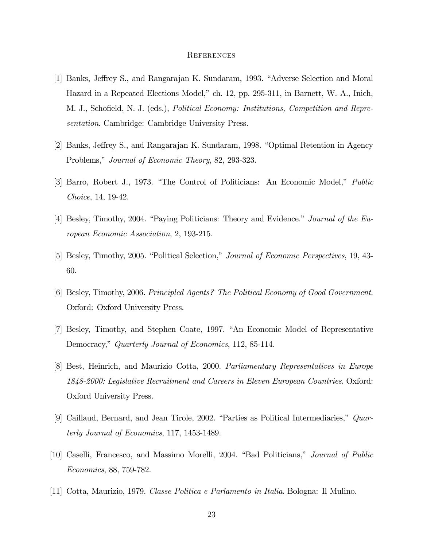#### **REFERENCES**

- [1] Banks, Jeffrey S., and Rangarajan K. Sundaram, 1993. "Adverse Selection and Moral Hazard in a Repeated Elections Model," ch. 12, pp. 295-311, in Barnett, W. A., Inich, M. J., Schofield, N. J. (eds.), Political Economy: Institutions, Competition and Representation. Cambridge: Cambridge University Press.
- [2] Banks, Jeffrey S., and Rangarajan K. Sundaram, 1998. "Optimal Retention in Agency Problems," Journal of Economic Theory, 82, 293-323.
- [3] Barro, Robert J., 1973. "The Control of Politicians: An Economic Model," Public Choice, 14, 19-42.
- [4] Besley, Timothy, 2004. "Paying Politicians: Theory and Evidence." Journal of the European Economic Association, 2, 193-215.
- [5] Besley, Timothy, 2005. "Political Selection," Journal of Economic Perspectives, 19, 43- 60.
- [6] Besley, Timothy, 2006. Principled Agents? The Political Economy of Good Government. Oxford: Oxford University Press.
- [7] Besley, Timothy, and Stephen Coate, 1997. "An Economic Model of Representative Democracy," Quarterly Journal of Economics, 112, 85-114.
- [8] Best, Heinrich, and Maurizio Cotta, 2000. Parliamentary Representatives in Europe 1848-2000: Legislative Recruitment and Careers in Eleven European Countries. Oxford: Oxford University Press.
- [9] Caillaud, Bernard, and Jean Tirole, 2002. "Parties as Political Intermediaries," Quarterly Journal of Economics, 117, 1453-1489.
- [10] Caselli, Francesco, and Massimo Morelli, 2004. "Bad Politicians," Journal of Public Economics, 88, 759-782.
- [11] Cotta, Maurizio, 1979. Classe Politica e Parlamento in Italia. Bologna: Il Mulino.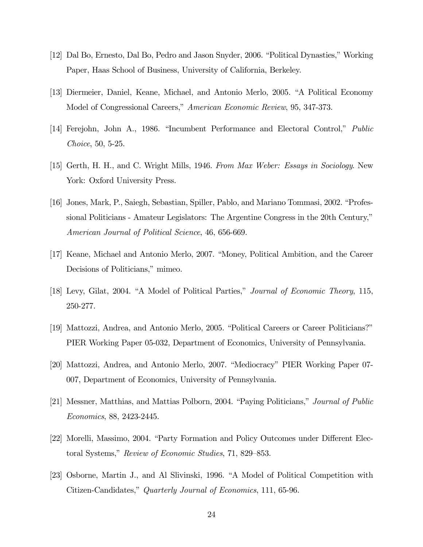- [12] Dal Bo, Ernesto, Dal Bo, Pedro and Jason Snyder, 2006. "Political Dynasties," Working Paper, Haas School of Business, University of California, Berkeley.
- [13] Diermeier, Daniel, Keane, Michael, and Antonio Merlo, 2005. "A Political Economy Model of Congressional Careers," American Economic Review, 95, 347-373.
- [14] Ferejohn, John A., 1986. "Incumbent Performance and Electoral Control," Public Choice, 50, 5-25.
- [15] Gerth, H. H., and C. Wright Mills, 1946. From Max Weber: Essays in Sociology. New York: Oxford University Press.
- [16] Jones, Mark, P., Saiegh, Sebastian, Spiller, Pablo, and Mariano Tommasi, 2002. "Professional Politicians - Amateur Legislators: The Argentine Congress in the 20th Century," American Journal of Political Science, 46, 656-669.
- [17] Keane, Michael and Antonio Merlo, 2007. "Money, Political Ambition, and the Career Decisions of Politicians," mimeo.
- [18] Levy, Gilat, 2004. "A Model of Political Parties," Journal of Economic Theory, 115, 250-277.
- [19] Mattozzi, Andrea, and Antonio Merlo, 2005. "Political Careers or Career Politicians?" PIER Working Paper 05-032, Department of Economics, University of Pennsylvania.
- [20] Mattozzi, Andrea, and Antonio Merlo, 2007. "Mediocracy" PIER Working Paper 07- 007, Department of Economics, University of Pennsylvania.
- [21] Messner, Matthias, and Mattias Polborn, 2004. "Paying Politicians," Journal of Public Economics, 88, 2423-2445.
- [22] Morelli, Massimo, 2004. "Party Formation and Policy Outcomes under Different Electoral Systems," Review of Economic Studies, 71, 829—853.
- [23] Osborne, Martin J., and Al Slivinski, 1996. "A Model of Political Competition with Citizen-Candidates," Quarterly Journal of Economics, 111, 65-96.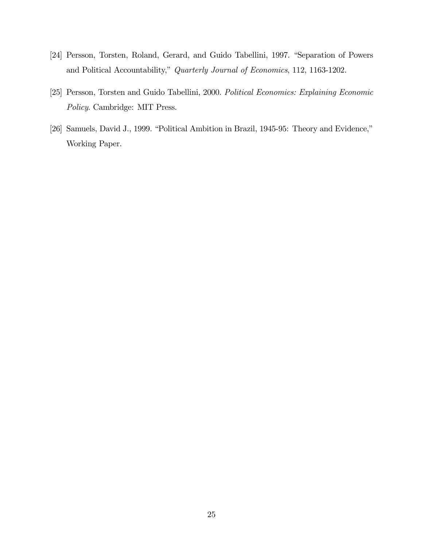- [24] Persson, Torsten, Roland, Gerard, and Guido Tabellini, 1997. "Separation of Powers and Political Accountability," Quarterly Journal of Economics, 112, 1163-1202.
- [25] Persson, Torsten and Guido Tabellini, 2000. Political Economics: Explaining Economic Policy. Cambridge: MIT Press.
- [26] Samuels, David J., 1999. "Political Ambition in Brazil, 1945-95: Theory and Evidence," Working Paper.